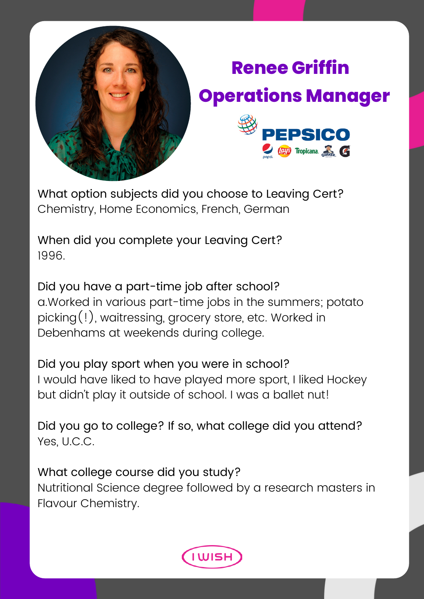

## **Renee Griffin Operations Manager**



What option subjects did you choose to Leaving Cert? Chemistry, Home Economics, French, German

When did you complete your Leaving Cert? 1996.

Did you have a part-time job after school? a.Worked in various part-time jobs in the summers; potato picking(!), waitressing, grocery store, etc. Worked in Debenhams at weekends during college.

Did you play sport when you were in school? I would have liked to have played more sport, I liked Hockey but didn't play it outside of school. I was a ballet nut!

Did you go to college? If so, what college did you attend? Yes, U.C.C.

What college course did you study? Nutritional Science degree followed by a research masters in Flavour Chemistry.